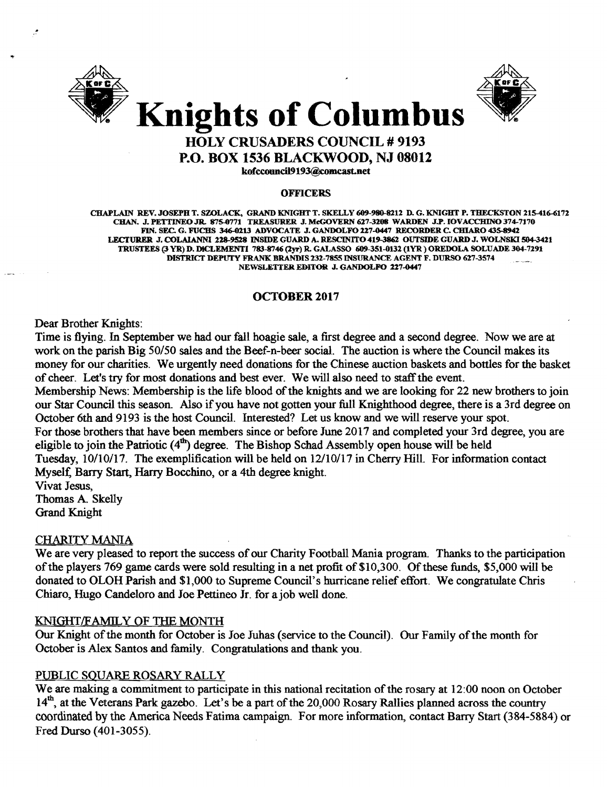



### **Knights of Columbus** HOLY CRUSADERS COUNCIL # 9193 P.O. BOX 1536 BLACKWOOD, NJ 08012

kofccouncil9193@comcast.net

#### **OFFICERS**

CHAPLAIN REV. JOSEPH T. SZOLACK. GRAND KNIGHT T. SKELLY 609-980-8212 D. G. KNIGHT P. THECKSTON 215-416-6172 CHAN. J. PETTINEOJR. 875-0771 TREASURER J. McGOVERN 627-3208 WARDEN J.P. IOVACCHIN0374-7170 FIN. SEC. G. FUCHS 346-0213 ADVOCATE J. GANDOLFO 227-0447 RECORDER C. CHIARO 435-8942 LECTURER J. COLAIANNI 228-9528 INSIDE GUARD A. RESCINITO 419-3862 OUTSIDE GUARD J. WOLNSKI 504-3421 TRUSTEES (3 YR) D. DICLEMENTI 783-8746 (2yr) R. GALASSO 609-351-0132 (1YR) OREDOLA SOLUADE 304-7291 DISTRICT DEPUTY FRANK BRANDIS 232-7855 INSURANCE AGENT F. DURSO 627-3574 NEWSLETTER EDITOR J. GANDOLFO 227-0447

#### OCTOBER 2017

#### Dear Brother Knights:

Time is flying. In September we had our fall hoagie sale, a first degree and a second degree. Now we are at work on the parish Big 50/50 sales and the Beef-n-beer social. The auction is where the Council makes its money for our charities. We urgently need donations for the Chinese auction baskets and bottles for the basket of cheer. Let's try for most donations and best ever. We will also need to staffthe event.

Membership News: Membership is the life blood of the knights and we are looking for 22 new brothers to join our Star Council this season. Also ifyou have not gotten your full Knighthood degree, there is a 3rd degree on October 6th and 9193 is the host Council. Interested? Let us know and we will reserve your spot. For those brothers that have been members since or before June 2017 and completed your 3rd degree, you are

eligible to join the Patriotic (4<sup>th</sup>) degree. The Bishop Schad Assembly open house will be held

Tuesday, 10/10117. The exemplification will be held on 12110/17 in Cherry Hill. For information contact Myself: Barry Start, Harry Bocchino, or a 4th degree knight.

Vivat Jesus, Thomas A. Skelly Grand Knight

#### CHARITY MANIA

We are very pleased to report the success of our Charity Football Mania program. Thanks to the participation of the players 769 game cards were sold resulting in a net profit of \$10,300. Of these funds, \$5,000 will be donated to OLOH Parish and \$1,000 to Supreme Council's hurricane relief effort. We congratulate Chris Chiaro, Hugo Candeloro and Joe Pettineo Jr. for a job well done.

#### KNIGHT/FAMILY OF THE MONTH

Our Knight of the month for October is Joe Juhas (service to the Council). Our Family of the month for October is Alex Santos and family. Congratulations and thank you.

#### PUBLIC SOUARE ROSARY RALLY

We are making a commitment to participate in this national recitation of the rosary at 12:00 noon on October  $14<sup>th</sup>$ , at the Veterans Park gazebo. Let's be a part of the 20,000 Rosary Rallies planned across the country coordinated by the America Needs Fatima campaign. For more information, contact Barry Start (384-5884) or Fred Durso (401-3055).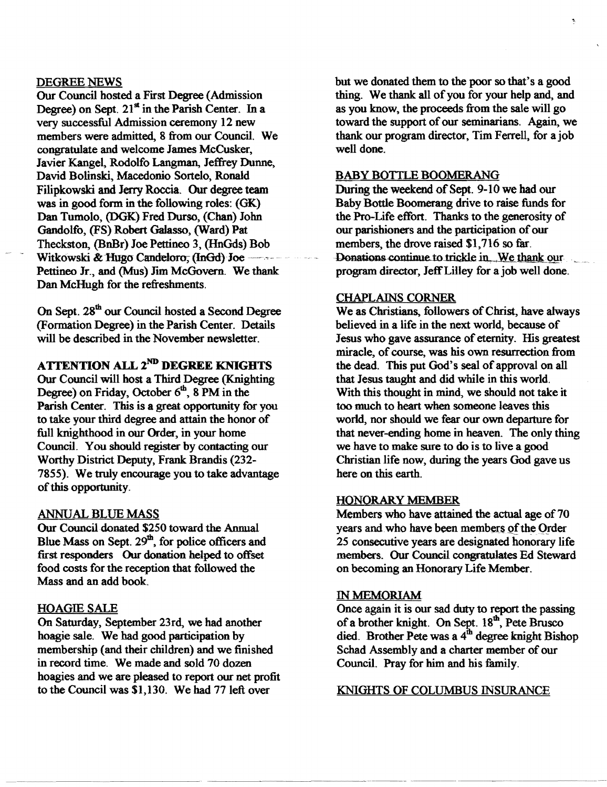#### DEGREE NEWS

Our Council hosted a First Degree (Admission Degree) on Sept.  $21<sup>st</sup>$  in the Parish Center. In a very successful Admission ceremony 12 new members were admitted, 8 from our Council. We congratulate and welcome James McCusker, Javier Kangel, Rodolfo Langman, Jeffrey Dunne, David Bolinski, Macedonio Sortelo, Ronald Filipkowski and Jerry Roccia. Our degree team was in good form in the following roles: (GK) Dan Tumolo, (DGK) Fred Durso, (Chan) John Gandolfo, (FS) Robert Galasso, (Ward) Pat Theckston, (BnBr) Joe Pettineo 3, (HnGds) Bob Witkowski & Hugo Candeloro; (InGd) Joe --Pettineo Jr., and (Mus) Jim McGovern. We thank Dan McHugh for the refreshments.

On Sept. 28<sup>th</sup> our Council hosted a Second Degree (Formation Degree) in the Parish Center. Details will be described in the November newsletter.

### ATTENTION ALL 2<sup>ND</sup> DEGREE KNIGHTS

Our Council will host a Third Degree (Knighting Degree) on Friday, October  $6<sup>th</sup>$ , 8 PM in the Parish Center. This is a great opportunity for you to take your third degree and attain the honor of full knighthood in our Order, in your home Council. You should register by contacting our Worthy District Deputy, Frank Brandis (232 7855). We truly encourage you to take advantage of this opportunity.

#### ANNUAL BLUE MASS

Our Council donated \$250 toward the Annual Blue Mass on Sept. 29<sup>th</sup>, for police officers and first responders Our donation helped to offset food costs for the reception that followed the Mass and an add book.

#### **HOAGIE SALE**

On Saturday, September 23rd, we had another hoagie sale. We had good participation by membership (and their children) and we finished in record time. We made and sold 70 dozen hoagies and we are pleased to report our net profit to the Council was SI,130. We had 77 left over

but we donated them to the poor so that's a good thing. We thank all of you for your help and, and as you know, the proceeds from the sale will go toward the support of our seminarians. Again, we thank our program director, Tim Ferrell, for a job well done.

#### BABY BOTTLE BOOMERANG

During the weekend of Sept. 9-10 we had our Baby Bottle Boomerang drive to raise funds for the Pro-Life effort. Thanks to the generosity of our parishioners and the participation of our members, the drove raised \$1,716 so far. Donations continue to trickle in We thank our program director, JeffLilley for a job well done.

#### CHAPLAINS CORNER.

We as Christians, followers of Christ, have always believed in a life in the next world, because of Jesus who gave assurance of eternity. His greatest miracle, of course, was his own resurrection from the dead. This put God's seal of approval on all that Jesus taught and did while in this world. With this thought in mind, we should not take it too much to heart when someone leaves this world, nor should we fear our own departure for that never-ending home in heaven. The only thing we have to make sure to do is to live a good Christian life now, during the years God gave us here on this earth.

#### HONQRARY MEMBER

Members who have attained the actual age of 70 years and who have been members of the Order 25 consecutive years are designated honorary life members. Our Council congratulates Ed Steward on becoming an Honorary Life Member.

#### IN MEMORIAM

Once again it is our sad duty to report the passing of a brother knight. On Sept. 18<sup>th</sup>, Pete Brusco died. Brother Pete was a 4<sup>th</sup> degree knight Bishop Schad Assembly and a charter member of our Council. Pray for him and his family.

#### KNIGHTS OF COLUMBUS INSURANCE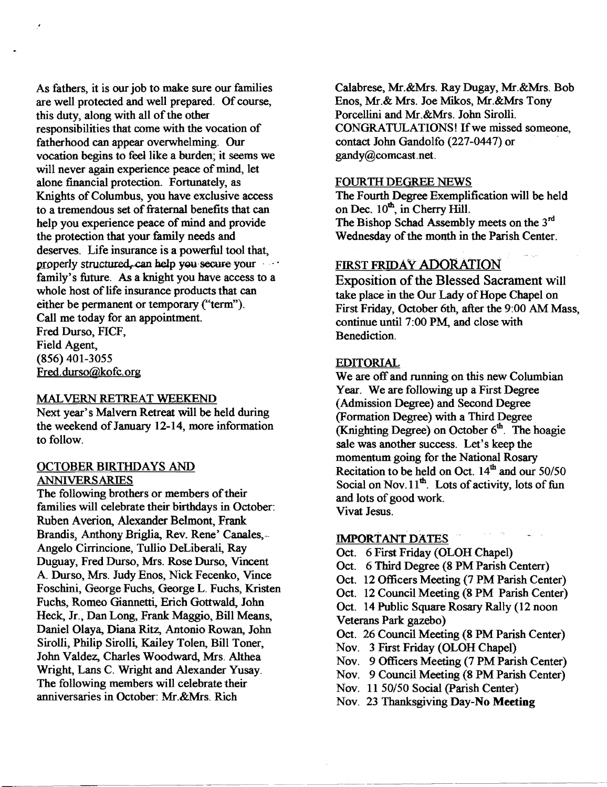As fathers, it is our job to make sure our families are well protected and well prepared. Of course, this duty, along with all of the other responsibilities that come with the vocation of fatherhood can appear overwhelming. Our vocation begins to feel like a burden; it seems we will never again experience peace of mind, let alone financial protection. Fortunately, as Knights of Columbus, you have exclusive access to a tremendous set of fraternal benefits that can help you experience peace of mind and provide the protection that your family needs and deserves. Life insurance is a powerful tool that, properly structured, can help you secure your family's future. As a knight you have access to a whole host of life insurance products that can either be permanent or temporary ("term"). Call me today for an appointment. Fred Durso, FICF, Field Agent, (856) 401-3055 Fred.durso@kofc.org

#### MALVERN RETREAT WEEKEND

Next year's Malvern Retreat will be held during the weekend of January 12-14, more information to follow.

#### OCTOBER BIRTHDAYS AND ANNIVERSARIES

The following brothers or members of their families will celebrate their birthdays in October: Ruben Averion, Alexander Belmont, Frank Brandis, Anthony Briglia, Rev. Rene' Canales,-Angelo Cirrincione, Tullio DeLiberali, Ray Duguay, Fred Durso, Mrs. Rose Durso, Vmcent A. Durso, Mrs. Judy Enos, Nick Fecenko, Vmce Foschini, George Fuchs, George L. Fuchs, Kristen Fuchs, Romeo Giannetti, Erich Gottwald, John Heck, Jr., Dan Long, Frank Maggio, Bill Means, Daniel Olaya, Diana Ritz, Antonio Rowan, John Sirolli, Philip Sirolli, Kailey Tolen, Bill Toner, John Valdez, Charles Woodward, Mrs. Althea Wright, Lans C. Wright and Alexander Yusay. The following members will celebrate their anniversaries in October: Mr.&Mrs. Rich

Calabrese, Mr.&Mrs. Ray Dugay, Mr.&Mrs. Bob Enos, Mr.& Mrs. Joe Mikos, Mr.&Mrs Tony Porcellini and Mr.&Mrs. John Sirolli. CONGRATULATIONS! If we missed someone, contact John Gandolfo (227-0447) or gandy@comcast.net.

#### FOURTH DEGREE NEWS

The Fourth Degree Exemplification will be held on Dec.  $10<sup>th</sup>$ , in Cherry Hill. The Bishop Schad Assembly meets on the 3<sup>rd</sup> Wednesday of the month in the Parish Center.

#### FIRST FRIDAY ADORATION

Exposition of the Blessed Sacrament will take place in the Our Lady of Hope Chapel on First Friday, October 6th, after the 9:00 AM Mass, continue until 7:00 PM, and close with Benediction.

#### EDITORIAL

We are off and running on this new Columbian Year. We are following up a First Degree (Admission Degree) and Second Degree (Formation Degree) with a Third Degree (Knighting Degree) on October  $6<sup>th</sup>$ . The hoagie sale was another success. Let's keep the momentum going for the National Rosary Recitation to be held on Oct. 14<sup>th</sup> and our 50/50 Social on Nov.  $11^{th}$ . Lots of activity, lots of fun and lots of good work. Vivat Jesus.

#### IMPORTANT DATES

Oct. 6 First Friday (OLOH Chapel) Oct. 6 Third Degree (8 PM Parish Centerr) Oct. 12 Officers Meeting (7 PM Parish Center) Oct. 12 Council Meeting (8 PM Parish Center) Oct. 14 Public Square Rosary Rally (12 noon Veterans Park gazebo) Oct. 26 Council Meeting (8 PM Parish Center) Nov. 3 First Friday (OLOH Chapel) Nov. 9 Officers Meeting (7 PM Parish Center) Nov. 9 Council Meeting (8 PM Parish Center) Nov. 11 *50/50* Social (parish Center) Nov. 23 Thanksgiving Day-No Meeting

-~................-~...................-~- --\_...............\_\_.....